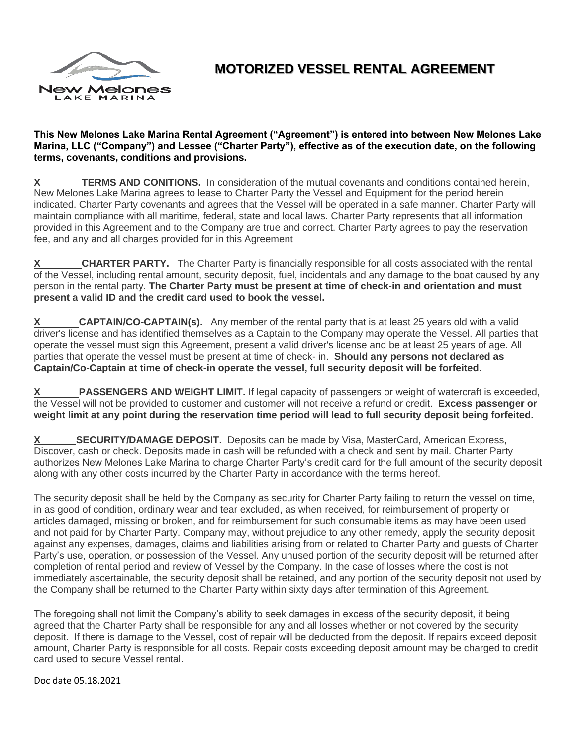

# **MOTORIZED VESSEL RENTAL AGREEMENT**

#### **This New Melones Lake Marina Rental Agreement ("Agreement") is entered into between New Melones Lake Marina, LLC ("Company") and Lessee ("Charter Party"), effective as of the execution date, on the following terms, covenants, conditions and provisions.**

**TERMS AND CONITIONS.** In consideration of the mutual covenants and conditions contained herein, New Melones Lake Marina agrees to lease to Charter Party the Vessel and Equipment for the period herein indicated. Charter Party covenants and agrees that the Vessel will be operated in a safe manner. Charter Party will maintain compliance with all maritime, federal, state and local laws. Charter Party represents that all information provided in this Agreement and to the Company are true and correct. Charter Party agrees to pay the reservation fee, and any and all charges provided for in this Agreement

**X CHARTER PARTY.** The Charter Party is financially responsible for all costs associated with the rental of the Vessel, including rental amount, security deposit, fuel, incidentals and any damage to the boat caused by any person in the rental party. **The Charter Party must be present at time of check-in and orientation and must present a valid ID and the credit card used to book the vessel.**

**X CAPTAIN/CO-CAPTAIN(s).** Any member of the rental party that is at least 25 years old with a valid driver's license and has identified themselves as a Captain to the Company may operate the Vessel. All parties that operate the vessel must sign this Agreement, present a valid driver's license and be at least 25 years of age. All parties that operate the vessel must be present at time of check- in. **Should any persons not declared as Captain/Co-Captain at time of check-in operate the vessel, full security deposit will be forfeited**.

**PASSENGERS AND WEIGHT LIMIT.** If legal capacity of passengers or weight of watercraft is exceeded, the Vessel will not be provided to customer and customer will not receive a refund or credit. **Excess passenger or weight limit at any point during the reservation time period will lead to full security deposit being forfeited.** 

**SECURITY/DAMAGE DEPOSIT.** Deposits can be made by Visa, MasterCard, American Express, Discover, cash or check. Deposits made in cash will be refunded with a check and sent by mail. Charter Party authorizes New Melones Lake Marina to charge Charter Party's credit card for the full amount of the security deposit along with any other costs incurred by the Charter Party in accordance with the terms hereof.

The security deposit shall be held by the Company as security for Charter Party failing to return the vessel on time, in as good of condition, ordinary wear and tear excluded, as when received, for reimbursement of property or articles damaged, missing or broken, and for reimbursement for such consumable items as may have been used and not paid for by Charter Party. Company may, without prejudice to any other remedy, apply the security deposit against any expenses, damages, claims and liabilities arising from or related to Charter Party and guests of Charter Party's use, operation, or possession of the Vessel. Any unused portion of the security deposit will be returned after completion of rental period and review of Vessel by the Company. In the case of losses where the cost is not immediately ascertainable, the security deposit shall be retained, and any portion of the security deposit not used by the Company shall be returned to the Charter Party within sixty days after termination of this Agreement.

The foregoing shall not limit the Company's ability to seek damages in excess of the security deposit, it being agreed that the Charter Party shall be responsible for any and all losses whether or not covered by the security deposit. If there is damage to the Vessel, cost of repair will be deducted from the deposit. If repairs exceed deposit amount, Charter Party is responsible for all costs. Repair costs exceeding deposit amount may be charged to credit card used to secure Vessel rental.

Doc date 05.18.2021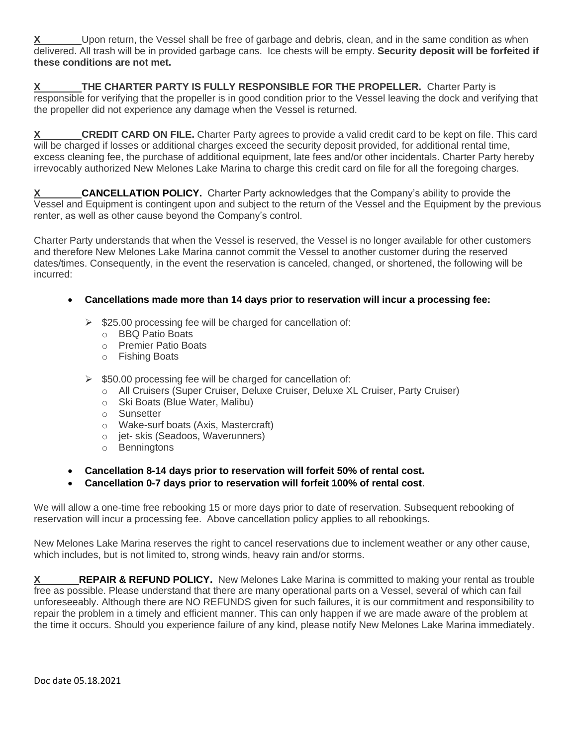Upon return, the Vessel shall be free of garbage and debris, clean, and in the same condition as when delivered. All trash will be in provided garbage cans. Ice chests will be empty. **Security deposit will be forfeited if these conditions are not met.** 

**X** THE CHARTER PARTY IS FULLY RESPONSIBLE FOR THE PROPELLER. Charter Party is responsible for verifying that the propeller is in good condition prior to the Vessel leaving the dock and verifying that the propeller did not experience any damage when the Vessel is returned.

**X CREDIT CARD ON FILE.** Charter Party agrees to provide a valid credit card to be kept on file. This card will be charged if losses or additional charges exceed the security deposit provided, for additional rental time, excess cleaning fee, the purchase of additional equipment, late fees and/or other incidentals. Charter Party hereby irrevocably authorized New Melones Lake Marina to charge this credit card on file for all the foregoing charges.

**CANCELLATION POLICY.** Charter Party acknowledges that the Company's ability to provide the Vessel and Equipment is contingent upon and subject to the return of the Vessel and the Equipment by the previous renter, as well as other cause beyond the Company's control.

Charter Party understands that when the Vessel is reserved, the Vessel is no longer available for other customers and therefore New Melones Lake Marina cannot commit the Vessel to another customer during the reserved dates/times. Consequently, in the event the reservation is canceled, changed, or shortened, the following will be incurred:

### • **Cancellations made more than 14 days prior to reservation will incur a processing fee:**

- $\geq$  \$25.00 processing fee will be charged for cancellation of:
	- o BBQ Patio Boats
	- o Premier Patio Boats
	- o Fishing Boats
- $\triangleright$  \$50.00 processing fee will be charged for cancellation of:
	- o All Cruisers (Super Cruiser, Deluxe Cruiser, Deluxe XL Cruiser, Party Cruiser)
	- o Ski Boats (Blue Water, Malibu)
	- o Sunsetter
	- o Wake-surf boats (Axis, Mastercraft)
	- o jet- skis (Seadoos, Waverunners)
	- o Benningtons
- **Cancellation 8-14 days prior to reservation will forfeit 50% of rental cost.**
- **Cancellation 0-7 days prior to reservation will forfeit 100% of rental cost**.

We will allow a one-time free rebooking 15 or more days prior to date of reservation. Subsequent rebooking of reservation will incur a processing fee. Above cancellation policy applies to all rebookings.

New Melones Lake Marina reserves the right to cancel reservations due to inclement weather or any other cause, which includes, but is not limited to, strong winds, heavy rain and/or storms.

**X** REPAIR & REFUND POLICY. New Melones Lake Marina is committed to making your rental as trouble free as possible. Please understand that there are many operational parts on a Vessel, several of which can fail unforeseeably. Although there are NO REFUNDS given for such failures, it is our commitment and responsibility to repair the problem in a timely and efficient manner. This can only happen if we are made aware of the problem at the time it occurs. Should you experience failure of any kind, please notify New Melones Lake Marina immediately.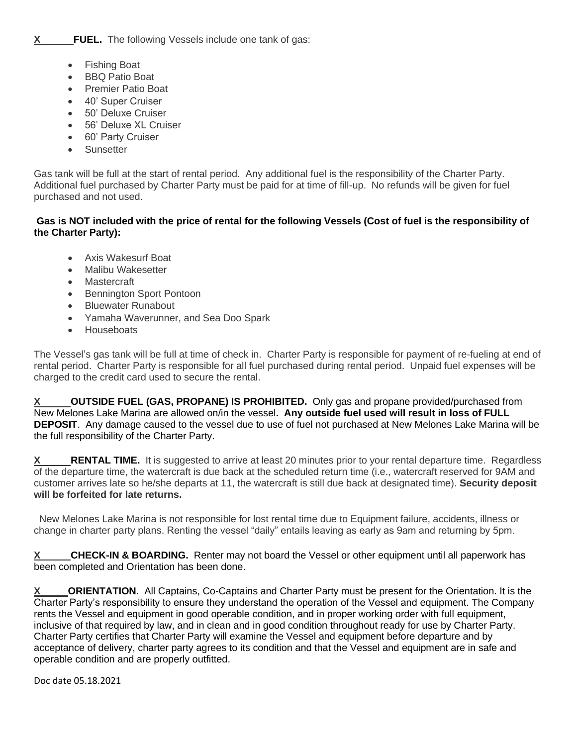- Fishing Boat
- BBQ Patio Boat
- Premier Patio Boat
- 40' Super Cruiser
- 50' Deluxe Cruiser
- 56' Deluxe XL Cruiser
- 60' Party Cruiser
- Sunsetter

Gas tank will be full at the start of rental period. Any additional fuel is the responsibility of the Charter Party. Additional fuel purchased by Charter Party must be paid for at time of fill-up. No refunds will be given for fuel purchased and not used.

#### **Gas is NOT included with the price of rental for the following Vessels (Cost of fuel is the responsibility of the Charter Party):**

- Axis Wakesurf Boat
- Malibu Wakesetter
- Mastercraft
- Bennington Sport Pontoon
- Bluewater Runabout
- Yamaha Waverunner, and Sea Doo Spark
- Houseboats

The Vessel's gas tank will be full at time of check in. Charter Party is responsible for payment of re-fueling at end of rental period. Charter Party is responsible for all fuel purchased during rental period. Unpaid fuel expenses will be charged to the credit card used to secure the rental.

**OUTSIDE FUEL (GAS, PROPANE) IS PROHIBITED.** Only gas and propane provided/purchased from New Melones Lake Marina are allowed on/in the vessel**. Any outside fuel used will result in loss of FULL DEPOSIT**.Any damage caused to the vessel due to use of fuel not purchased at New Melones Lake Marina will be the full responsibility of the Charter Party.

**X** RENTAL TIME. It is suggested to arrive at least 20 minutes prior to your rental departure time. Regardless of the departure time, the watercraft is due back at the scheduled return time (i.e., watercraft reserved for 9AM and customer arrives late so he/she departs at 11, the watercraft is still due back at designated time). **Security deposit will be forfeited for late returns.**

 New Melones Lake Marina is not responsible for lost rental time due to Equipment failure, accidents, illness or change in charter party plans. Renting the vessel "daily" entails leaving as early as 9am and returning by 5pm.

**CHECK-IN & BOARDING.** Renter may not board the Vessel or other equipment until all paperwork has been completed and Orientation has been done.

**ORIENTATION.** All Captains, Co-Captains and Charter Party must be present for the Orientation. It is the Charter Party's responsibility to ensure they understand the operation of the Vessel and equipment. The Company rents the Vessel and equipment in good operable condition, and in proper working order with full equipment, inclusive of that required by law, and in clean and in good condition throughout ready for use by Charter Party. Charter Party certifies that Charter Party will examine the Vessel and equipment before departure and by acceptance of delivery, charter party agrees to its condition and that the Vessel and equipment are in safe and operable condition and are properly outfitted.

Doc date 05.18.2021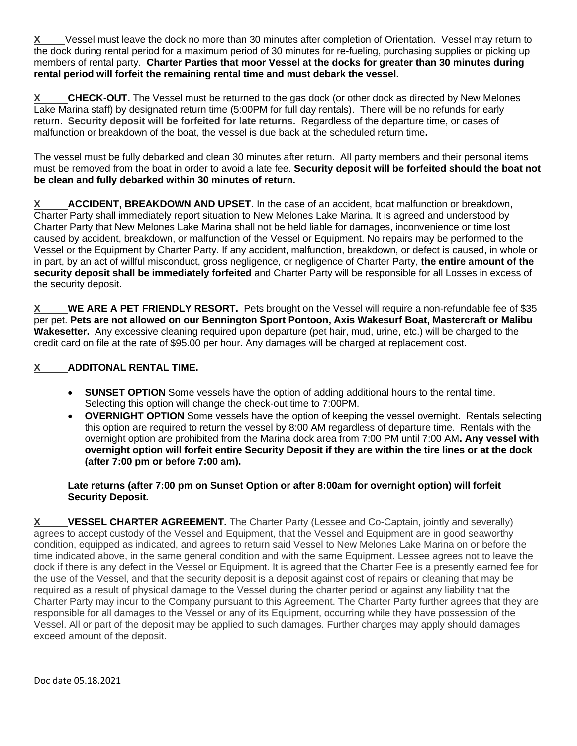**X** Vessel must leave the dock no more than 30 minutes after completion of Orientation. Vessel may return to the dock during rental period for a maximum period of 30 minutes for re-fueling, purchasing supplies or picking up members of rental party. **Charter Parties that moor Vessel at the docks for greater than 30 minutes during rental period will forfeit the remaining rental time and must debark the vessel.**

**CHECK-OUT.** The Vessel must be returned to the gas dock (or other dock as directed by New Melones Lake Marina staff) by designated return time (5:00PM for full day rentals). There will be no refunds for early return. **Security deposit will be forfeited for late returns.** Regardless of the departure time, or cases of malfunction or breakdown of the boat, the vessel is due back at the scheduled return time**.** 

The vessel must be fully debarked and clean 30 minutes after return. All party members and their personal items must be removed from the boat in order to avoid a late fee. **Security deposit will be forfeited should the boat not be clean and fully debarked within 30 minutes of return.** 

**X ACCIDENT, BREAKDOWN AND UPSET**. In the case of an accident, boat malfunction or breakdown, Charter Party shall immediately report situation to New Melones Lake Marina. It is agreed and understood by Charter Party that New Melones Lake Marina shall not be held liable for damages, inconvenience or time lost caused by accident, breakdown, or malfunction of the Vessel or Equipment. No repairs may be performed to the Vessel or the Equipment by Charter Party. If any accident, malfunction, breakdown, or defect is caused, in whole or in part, by an act of willful misconduct, gross negligence, or negligence of Charter Party, **the entire amount of the security deposit shall be immediately forfeited** and Charter Party will be responsible for all Losses in excess of the security deposit.

**X WE ARE A PET FRIENDLY RESORT.** Pets brought on the Vessel will require a non-refundable fee of \$35 per pet. **Pets are not allowed on our Bennington Sport Pontoon, Axis Wakesurf Boat, Mastercraft or Malibu Wakesetter.** Any excessive cleaning required upon departure (pet hair, mud, urine, etc.) will be charged to the credit card on file at the rate of \$95.00 per hour. Any damages will be charged at replacement cost.

## **X ADDITONAL RENTAL TIME.**

- **SUNSET OPTION** Some vessels have the option of adding additional hours to the rental time. Selecting this option will change the check-out time to 7:00PM.
- **OVERNIGHT OPTION** Some vessels have the option of keeping the vessel overnight. Rentals selecting this option are required to return the vessel by 8:00 AM regardless of departure time. Rentals with the overnight option are prohibited from the Marina dock area from 7:00 PM until 7:00 AM**. Any vessel with overnight option will forfeit entire Security Deposit if they are within the tire lines or at the dock (after 7:00 pm or before 7:00 am).**

#### **Late returns (after 7:00 pm on Sunset Option or after 8:00am for overnight option) will forfeit Security Deposit.**

**X VESSEL CHARTER AGREEMENT.** The Charter Party (Lessee and Co-Captain, jointly and severally) agrees to accept custody of the Vessel and Equipment, that the Vessel and Equipment are in good seaworthy condition, equipped as indicated, and agrees to return said Vessel to New Melones Lake Marina on or before the time indicated above, in the same general condition and with the same Equipment. Lessee agrees not to leave the dock if there is any defect in the Vessel or Equipment. It is agreed that the Charter Fee is a presently earned fee for the use of the Vessel, and that the security deposit is a deposit against cost of repairs or cleaning that may be required as a result of physical damage to the Vessel during the charter period or against any liability that the Charter Party may incur to the Company pursuant to this Agreement. The Charter Party further agrees that they are responsible for all damages to the Vessel or any of its Equipment, occurring while they have possession of the Vessel. All or part of the deposit may be applied to such damages. Further charges may apply should damages exceed amount of the deposit.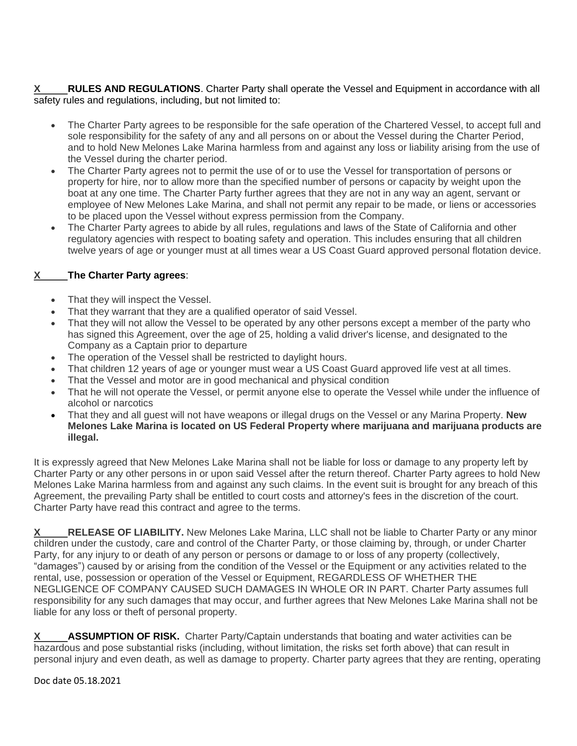**X RULES AND REGULATIONS**. Charter Party shall operate the Vessel and Equipment in accordance with all safety rules and regulations, including, but not limited to:

- The Charter Party agrees to be responsible for the safe operation of the Chartered Vessel, to accept full and sole responsibility for the safety of any and all persons on or about the Vessel during the Charter Period, and to hold New Melones Lake Marina harmless from and against any loss or liability arising from the use of the Vessel during the charter period.
- The Charter Party agrees not to permit the use of or to use the Vessel for transportation of persons or property for hire, nor to allow more than the specified number of persons or capacity by weight upon the boat at any one time. The Charter Party further agrees that they are not in any way an agent, servant or employee of New Melones Lake Marina, and shall not permit any repair to be made, or liens or accessories to be placed upon the Vessel without express permission from the Company.
- The Charter Party agrees to abide by all rules, regulations and laws of the State of California and other regulatory agencies with respect to boating safety and operation. This includes ensuring that all children twelve years of age or younger must at all times wear a US Coast Guard approved personal flotation device.

## **X The Charter Party agrees**:

- That they will inspect the Vessel.
- That they warrant that they are a qualified operator of said Vessel.
- That they will not allow the Vessel to be operated by any other persons except a member of the party who has signed this Agreement, over the age of 25, holding a valid driver's license, and designated to the Company as a Captain prior to departure
- The operation of the Vessel shall be restricted to daylight hours.
- That children 12 years of age or younger must wear a US Coast Guard approved life vest at all times.
- That the Vessel and motor are in good mechanical and physical condition
- That he will not operate the Vessel, or permit anyone else to operate the Vessel while under the influence of alcohol or narcotics
- That they and all guest will not have weapons or illegal drugs on the Vessel or any Marina Property. **New Melones Lake Marina is located on US Federal Property where marijuana and marijuana products are illegal.**

It is expressly agreed that New Melones Lake Marina shall not be liable for loss or damage to any property left by Charter Party or any other persons in or upon said Vessel after the return thereof. Charter Party agrees to hold New Melones Lake Marina harmless from and against any such claims. In the event suit is brought for any breach of this Agreement, the prevailing Party shall be entitled to court costs and attorney's fees in the discretion of the court. Charter Party have read this contract and agree to the terms.

**X RELEASE OF LIABILITY.** New Melones Lake Marina, LLC shall not be liable to Charter Party or any minor children under the custody, care and control of the Charter Party, or those claiming by, through, or under Charter Party, for any injury to or death of any person or persons or damage to or loss of any property (collectively, "damages") caused by or arising from the condition of the Vessel or the Equipment or any activities related to the rental, use, possession or operation of the Vessel or Equipment, REGARDLESS OF WHETHER THE NEGLIGENCE OF COMPANY CAUSED SUCH DAMAGES IN WHOLE OR IN PART. Charter Party assumes full responsibility for any such damages that may occur, and further agrees that New Melones Lake Marina shall not be liable for any loss or theft of personal property.

**X ASSUMPTION OF RISK.** Charter Party/Captain understands that boating and water activities can be hazardous and pose substantial risks (including, without limitation, the risks set forth above) that can result in personal injury and even death, as well as damage to property. Charter party agrees that they are renting, operating

Doc date 05.18.2021